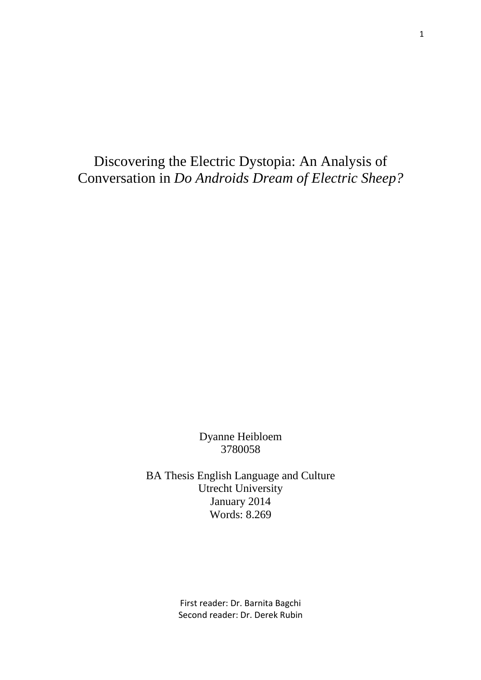Discovering the Electric Dystopia: An Analysis of Conversation in *Do Androids Dream of Electric Sheep?*

> Dyanne Heibloem 3780058

BA Thesis English Language and Culture Utrecht University January 2014 Words: 8.269

> First reader: Dr. Barnita Bagchi Second reader: Dr. Derek Rubin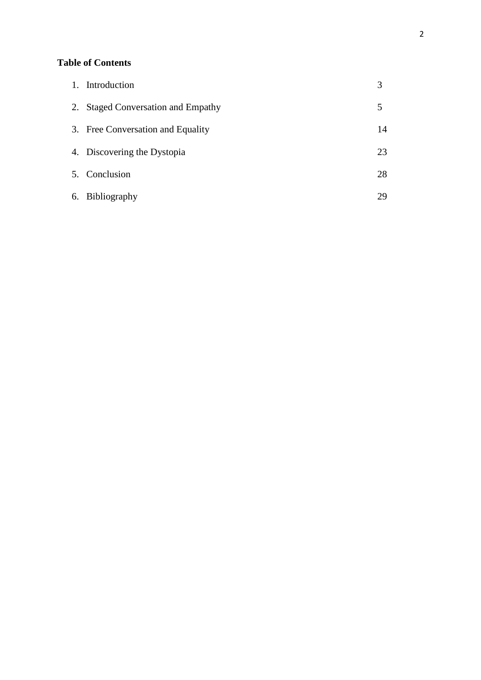# **Table of Contents**

| 1. Introduction                    | 3  |
|------------------------------------|----|
| 2. Staged Conversation and Empathy | 5  |
| 3. Free Conversation and Equality  | 14 |
| 4. Discovering the Dystopia        | 23 |
| 5. Conclusion                      | 28 |
| 6. Bibliography                    | 29 |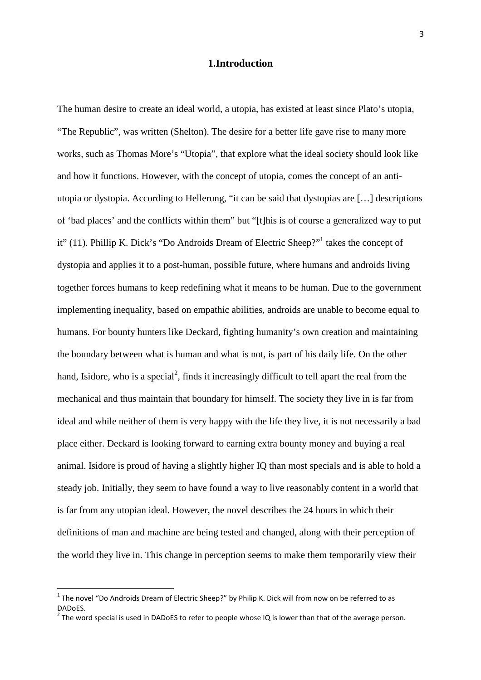## **1.Introduction**

The human desire to create an ideal world, a utopia, has existed at least since Plato's utopia, "The Republic", was written (Shelton). The desire for a better life gave rise to many more works, such as Thomas More's "Utopia", that explore what the ideal society should look like and how it functions. However, with the concept of utopia, comes the concept of an antiutopia or dystopia. According to Hellerung, "it can be said that dystopias are […] descriptions of 'bad places' and the conflicts within them" but "[t]his is of course a generalized way to put it" (11). Phillip K. Dick's "Do Androids Dream of Electric Sheep?"<sup>1</sup> takes the concept of dystopia and applies it to a post-human, possible future, where humans and androids living together forces humans to keep redefining what it means to be human. Due to the government implementing inequality, based on empathic abilities, androids are unable to become equal to humans. For bounty hunters like Deckard, fighting humanity's own creation and maintaining the boundary between what is human and what is not, is part of his daily life. On the other hand, Isidore, who is a special<sup>2</sup>, finds it increasingly difficult to tell apart the real from the mechanical and thus maintain that boundary for himself. The society they live in is far from ideal and while neither of them is very happy with the life they live, it is not necessarily a bad place either. Deckard is looking forward to earning extra bounty money and buying a real animal. Isidore is proud of having a slightly higher IQ than most specials and is able to hold a steady job. Initially, they seem to have found a way to live reasonably content in a world that is far from any utopian ideal. However, the novel describes the 24 hours in which their definitions of man and machine are being tested and changed, along with their perception of the world they live in. This change in perception seems to make them temporarily view their

l

 $^1$  The novel "Do Androids Dream of Electric Sheep?" by Philip K. Dick will from now on be referred to as DADoES.

 $2$  The word special is used in DADoES to refer to people whose IQ is lower than that of the average person.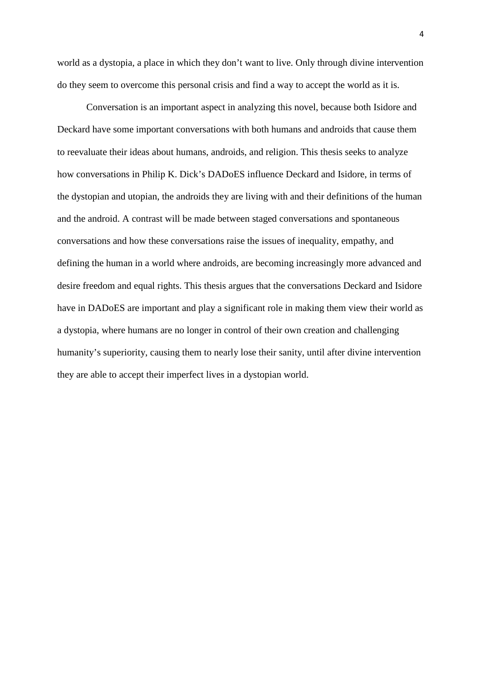world as a dystopia, a place in which they don't want to live. Only through divine intervention do they seem to overcome this personal crisis and find a way to accept the world as it is.

Conversation is an important aspect in analyzing this novel, because both Isidore and Deckard have some important conversations with both humans and androids that cause them to reevaluate their ideas about humans, androids, and religion. This thesis seeks to analyze how conversations in Philip K. Dick's DADoES influence Deckard and Isidore, in terms of the dystopian and utopian, the androids they are living with and their definitions of the human and the android. A contrast will be made between staged conversations and spontaneous conversations and how these conversations raise the issues of inequality, empathy, and defining the human in a world where androids, are becoming increasingly more advanced and desire freedom and equal rights. This thesis argues that the conversations Deckard and Isidore have in DADoES are important and play a significant role in making them view their world as a dystopia, where humans are no longer in control of their own creation and challenging humanity's superiority, causing them to nearly lose their sanity, until after divine intervention they are able to accept their imperfect lives in a dystopian world.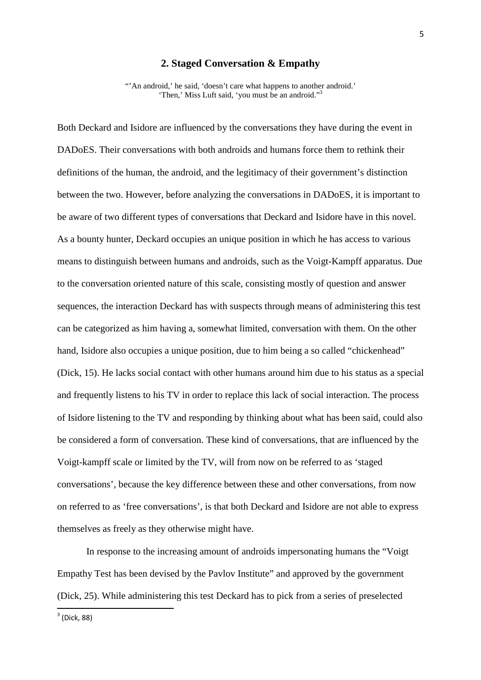## **2. Staged Conversation & Empathy**

"'An android,' he said, 'doesn't care what happens to another android,' 'Then,' Miss Luft said, 'you must be an android."<sup>3</sup>

Both Deckard and Isidore are influenced by the conversations they have during the event in DADoES. Their conversations with both androids and humans force them to rethink their definitions of the human, the android, and the legitimacy of their government's distinction between the two. However, before analyzing the conversations in DADoES, it is important to be aware of two different types of conversations that Deckard and Isidore have in this novel. As a bounty hunter, Deckard occupies an unique position in which he has access to various means to distinguish between humans and androids, such as the Voigt-Kampff apparatus. Due to the conversation oriented nature of this scale, consisting mostly of question and answer sequences, the interaction Deckard has with suspects through means of administering this test can be categorized as him having a, somewhat limited, conversation with them. On the other hand, Isidore also occupies a unique position, due to him being a so called "chickenhead" (Dick, 15). He lacks social contact with other humans around him due to his status as a special and frequently listens to his TV in order to replace this lack of social interaction. The process of Isidore listening to the TV and responding by thinking about what has been said, could also be considered a form of conversation. These kind of conversations, that are influenced by the Voigt-kampff scale or limited by the TV, will from now on be referred to as 'staged conversations', because the key difference between these and other conversations, from now on referred to as 'free conversations', is that both Deckard and Isidore are not able to express themselves as freely as they otherwise might have.

In response to the increasing amount of androids impersonating humans the "Voigt Empathy Test has been devised by the Pavlov Institute" and approved by the government (Dick, 25). While administering this test Deckard has to pick from a series of preselected

5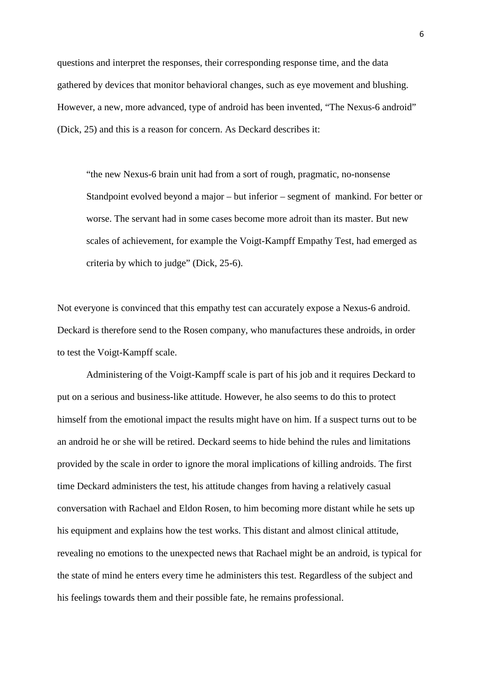questions and interpret the responses, their corresponding response time, and the data gathered by devices that monitor behavioral changes, such as eye movement and blushing. However, a new, more advanced, type of android has been invented, "The Nexus-6 android" (Dick, 25) and this is a reason for concern. As Deckard describes it:

"the new Nexus-6 brain unit had from a sort of rough, pragmatic, no-nonsense Standpoint evolved beyond a major – but inferior – segment of mankind. For better or worse. The servant had in some cases become more adroit than its master. But new scales of achievement, for example the Voigt-Kampff Empathy Test, had emerged as criteria by which to judge" (Dick, 25-6).

Not everyone is convinced that this empathy test can accurately expose a Nexus-6 android. Deckard is therefore send to the Rosen company, who manufactures these androids, in order to test the Voigt-Kampff scale.

Administering of the Voigt-Kampff scale is part of his job and it requires Deckard to put on a serious and business-like attitude. However, he also seems to do this to protect himself from the emotional impact the results might have on him. If a suspect turns out to be an android he or she will be retired. Deckard seems to hide behind the rules and limitations provided by the scale in order to ignore the moral implications of killing androids. The first time Deckard administers the test, his attitude changes from having a relatively casual conversation with Rachael and Eldon Rosen, to him becoming more distant while he sets up his equipment and explains how the test works. This distant and almost clinical attitude, revealing no emotions to the unexpected news that Rachael might be an android, is typical for the state of mind he enters every time he administers this test. Regardless of the subject and his feelings towards them and their possible fate, he remains professional.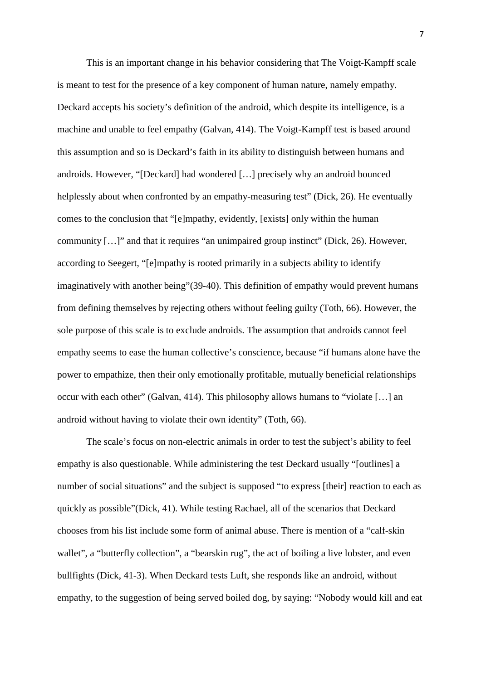This is an important change in his behavior considering that The Voigt-Kampff scale is meant to test for the presence of a key component of human nature, namely empathy. Deckard accepts his society's definition of the android, which despite its intelligence, is a machine and unable to feel empathy (Galvan, 414). The Voigt-Kampff test is based around this assumption and so is Deckard's faith in its ability to distinguish between humans and androids. However, "[Deckard] had wondered […] precisely why an android bounced helplessly about when confronted by an empathy-measuring test" (Dick, 26). He eventually comes to the conclusion that "[e]mpathy, evidently, [exists] only within the human community […]" and that it requires "an unimpaired group instinct" (Dick, 26). However, according to Seegert, "[e]mpathy is rooted primarily in a subjects ability to identify imaginatively with another being"(39-40). This definition of empathy would prevent humans from defining themselves by rejecting others without feeling guilty (Toth, 66). However, the sole purpose of this scale is to exclude androids. The assumption that androids cannot feel empathy seems to ease the human collective's conscience, because "if humans alone have the power to empathize, then their only emotionally profitable, mutually beneficial relationships occur with each other" (Galvan, 414). This philosophy allows humans to "violate […] an android without having to violate their own identity" (Toth, 66).

The scale's focus on non-electric animals in order to test the subject's ability to feel empathy is also questionable. While administering the test Deckard usually "[outlines] a number of social situations" and the subject is supposed "to express [their] reaction to each as quickly as possible"(Dick, 41). While testing Rachael, all of the scenarios that Deckard chooses from his list include some form of animal abuse. There is mention of a "calf-skin wallet", a "butterfly collection", a "bearskin rug", the act of boiling a live lobster, and even bullfights (Dick, 41-3). When Deckard tests Luft, she responds like an android, without empathy, to the suggestion of being served boiled dog, by saying: "Nobody would kill and eat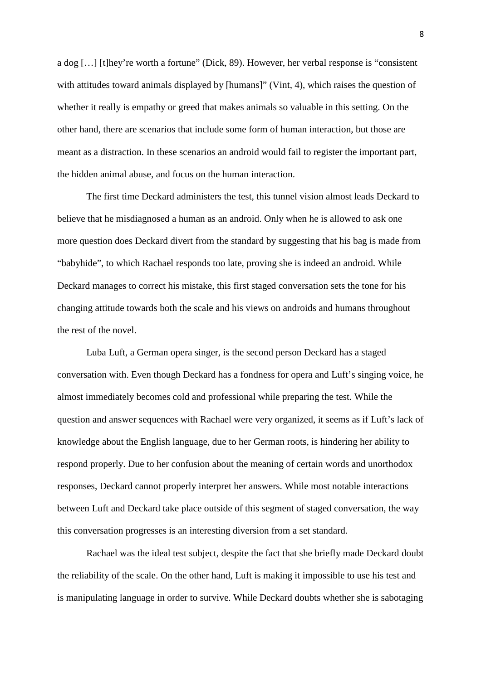a dog […] [t]hey're worth a fortune" (Dick, 89). However, her verbal response is "consistent with attitudes toward animals displayed by [humans]" (Vint, 4), which raises the question of whether it really is empathy or greed that makes animals so valuable in this setting. On the other hand, there are scenarios that include some form of human interaction, but those are meant as a distraction. In these scenarios an android would fail to register the important part, the hidden animal abuse, and focus on the human interaction.

The first time Deckard administers the test, this tunnel vision almost leads Deckard to believe that he misdiagnosed a human as an android. Only when he is allowed to ask one more question does Deckard divert from the standard by suggesting that his bag is made from "babyhide", to which Rachael responds too late, proving she is indeed an android. While Deckard manages to correct his mistake, this first staged conversation sets the tone for his changing attitude towards both the scale and his views on androids and humans throughout the rest of the novel.

Luba Luft, a German opera singer, is the second person Deckard has a staged conversation with. Even though Deckard has a fondness for opera and Luft's singing voice, he almost immediately becomes cold and professional while preparing the test. While the question and answer sequences with Rachael were very organized, it seems as if Luft's lack of knowledge about the English language, due to her German roots, is hindering her ability to respond properly. Due to her confusion about the meaning of certain words and unorthodox responses, Deckard cannot properly interpret her answers. While most notable interactions between Luft and Deckard take place outside of this segment of staged conversation, the way this conversation progresses is an interesting diversion from a set standard.

Rachael was the ideal test subject, despite the fact that she briefly made Deckard doubt the reliability of the scale. On the other hand, Luft is making it impossible to use his test and is manipulating language in order to survive. While Deckard doubts whether she is sabotaging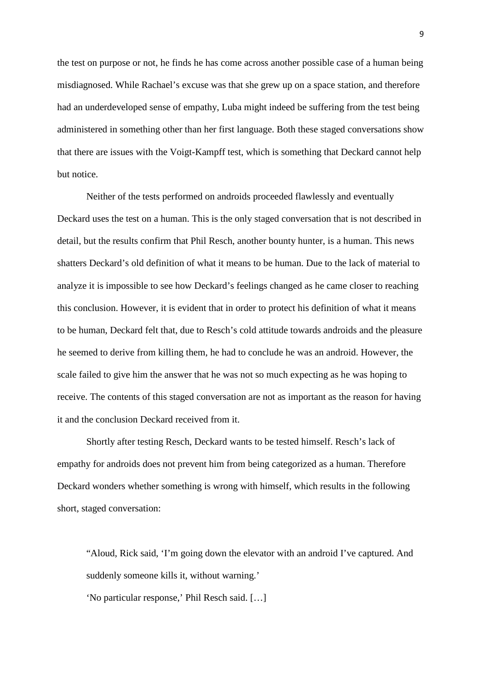the test on purpose or not, he finds he has come across another possible case of a human being misdiagnosed. While Rachael's excuse was that she grew up on a space station, and therefore had an underdeveloped sense of empathy, Luba might indeed be suffering from the test being administered in something other than her first language. Both these staged conversations show that there are issues with the Voigt-Kampff test, which is something that Deckard cannot help but notice.

Neither of the tests performed on androids proceeded flawlessly and eventually Deckard uses the test on a human. This is the only staged conversation that is not described in detail, but the results confirm that Phil Resch, another bounty hunter, is a human. This news shatters Deckard's old definition of what it means to be human. Due to the lack of material to analyze it is impossible to see how Deckard's feelings changed as he came closer to reaching this conclusion. However, it is evident that in order to protect his definition of what it means to be human, Deckard felt that, due to Resch's cold attitude towards androids and the pleasure he seemed to derive from killing them, he had to conclude he was an android. However, the scale failed to give him the answer that he was not so much expecting as he was hoping to receive. The contents of this staged conversation are not as important as the reason for having it and the conclusion Deckard received from it.

Shortly after testing Resch, Deckard wants to be tested himself. Resch's lack of empathy for androids does not prevent him from being categorized as a human. Therefore Deckard wonders whether something is wrong with himself, which results in the following short, staged conversation:

"Aloud, Rick said, 'I'm going down the elevator with an android I've captured. And suddenly someone kills it, without warning.'

'No particular response,' Phil Resch said. […]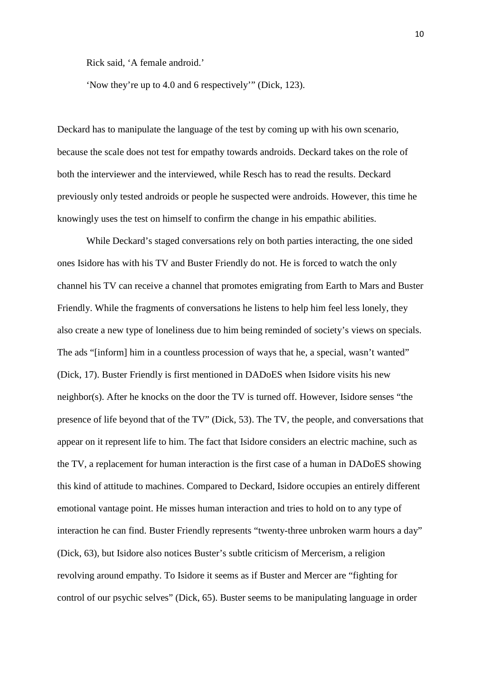Rick said, 'A female android.'

'Now they're up to 4.0 and 6 respectively'" (Dick, 123).

Deckard has to manipulate the language of the test by coming up with his own scenario, because the scale does not test for empathy towards androids. Deckard takes on the role of both the interviewer and the interviewed, while Resch has to read the results. Deckard previously only tested androids or people he suspected were androids. However, this time he knowingly uses the test on himself to confirm the change in his empathic abilities.

While Deckard's staged conversations rely on both parties interacting, the one sided ones Isidore has with his TV and Buster Friendly do not. He is forced to watch the only channel his TV can receive a channel that promotes emigrating from Earth to Mars and Buster Friendly. While the fragments of conversations he listens to help him feel less lonely, they also create a new type of loneliness due to him being reminded of society's views on specials. The ads "[inform] him in a countless procession of ways that he, a special, wasn't wanted" (Dick, 17). Buster Friendly is first mentioned in DADoES when Isidore visits his new neighbor(s). After he knocks on the door the TV is turned off. However, Isidore senses "the presence of life beyond that of the TV" (Dick, 53). The TV, the people, and conversations that appear on it represent life to him. The fact that Isidore considers an electric machine, such as the TV, a replacement for human interaction is the first case of a human in DADoES showing this kind of attitude to machines. Compared to Deckard, Isidore occupies an entirely different emotional vantage point. He misses human interaction and tries to hold on to any type of interaction he can find. Buster Friendly represents "twenty-three unbroken warm hours a day" (Dick, 63), but Isidore also notices Buster's subtle criticism of Mercerism, a religion revolving around empathy. To Isidore it seems as if Buster and Mercer are "fighting for control of our psychic selves" (Dick, 65). Buster seems to be manipulating language in order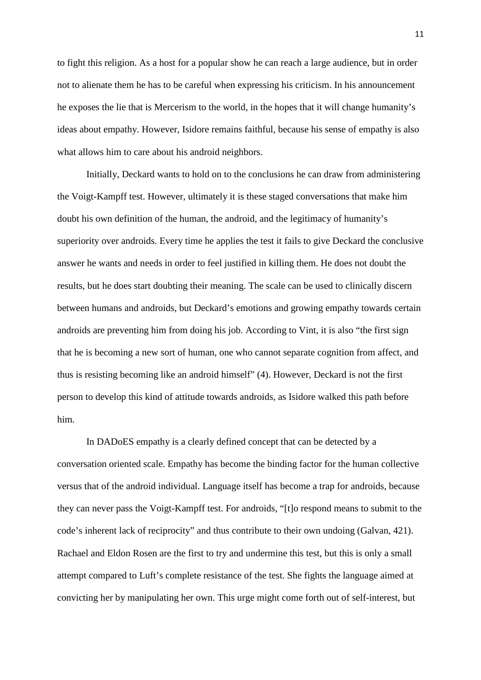to fight this religion. As a host for a popular show he can reach a large audience, but in order not to alienate them he has to be careful when expressing his criticism. In his announcement he exposes the lie that is Mercerism to the world, in the hopes that it will change humanity's ideas about empathy. However, Isidore remains faithful, because his sense of empathy is also what allows him to care about his android neighbors.

Initially, Deckard wants to hold on to the conclusions he can draw from administering the Voigt-Kampff test. However, ultimately it is these staged conversations that make him doubt his own definition of the human, the android, and the legitimacy of humanity's superiority over androids. Every time he applies the test it fails to give Deckard the conclusive answer he wants and needs in order to feel justified in killing them. He does not doubt the results, but he does start doubting their meaning. The scale can be used to clinically discern between humans and androids, but Deckard's emotions and growing empathy towards certain androids are preventing him from doing his job. According to Vint, it is also "the first sign that he is becoming a new sort of human, one who cannot separate cognition from affect, and thus is resisting becoming like an android himself" (4). However, Deckard is not the first person to develop this kind of attitude towards androids, as Isidore walked this path before him.

In DADoES empathy is a clearly defined concept that can be detected by a conversation oriented scale. Empathy has become the binding factor for the human collective versus that of the android individual. Language itself has become a trap for androids, because they can never pass the Voigt-Kampff test. For androids, "[t]o respond means to submit to the code's inherent lack of reciprocity" and thus contribute to their own undoing (Galvan, 421). Rachael and Eldon Rosen are the first to try and undermine this test, but this is only a small attempt compared to Luft's complete resistance of the test. She fights the language aimed at convicting her by manipulating her own. This urge might come forth out of self-interest, but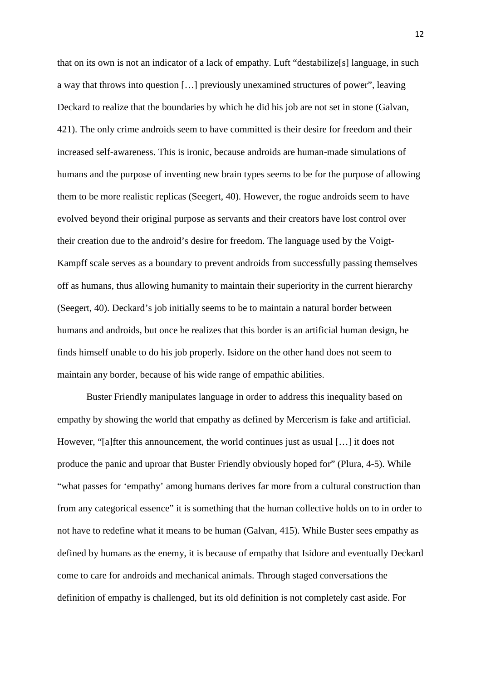that on its own is not an indicator of a lack of empathy. Luft "destabilize[s] language, in such a way that throws into question […] previously unexamined structures of power", leaving Deckard to realize that the boundaries by which he did his job are not set in stone (Galvan, 421). The only crime androids seem to have committed is their desire for freedom and their increased self-awareness. This is ironic, because androids are human-made simulations of humans and the purpose of inventing new brain types seems to be for the purpose of allowing them to be more realistic replicas (Seegert, 40). However, the rogue androids seem to have evolved beyond their original purpose as servants and their creators have lost control over their creation due to the android's desire for freedom. The language used by the Voigt-Kampff scale serves as a boundary to prevent androids from successfully passing themselves off as humans, thus allowing humanity to maintain their superiority in the current hierarchy (Seegert, 40). Deckard's job initially seems to be to maintain a natural border between humans and androids, but once he realizes that this border is an artificial human design, he finds himself unable to do his job properly. Isidore on the other hand does not seem to maintain any border, because of his wide range of empathic abilities.

Buster Friendly manipulates language in order to address this inequality based on empathy by showing the world that empathy as defined by Mercerism is fake and artificial. However, "[a]fter this announcement, the world continues just as usual […] it does not produce the panic and uproar that Buster Friendly obviously hoped for" (Plura, 4-5). While "what passes for 'empathy' among humans derives far more from a cultural construction than from any categorical essence" it is something that the human collective holds on to in order to not have to redefine what it means to be human (Galvan, 415). While Buster sees empathy as defined by humans as the enemy, it is because of empathy that Isidore and eventually Deckard come to care for androids and mechanical animals. Through staged conversations the definition of empathy is challenged, but its old definition is not completely cast aside. For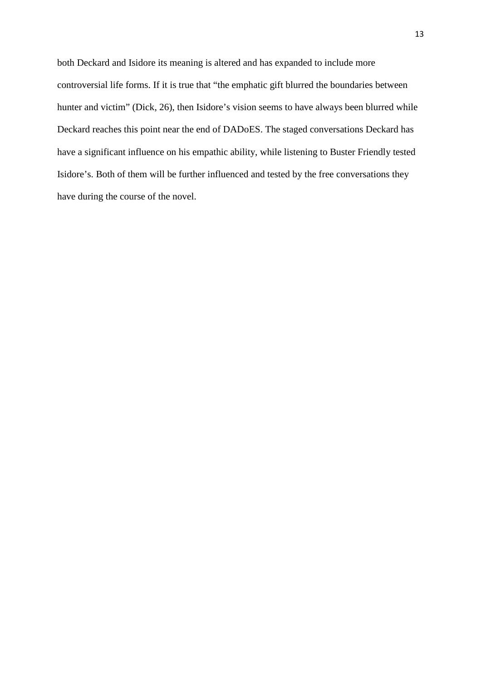both Deckard and Isidore its meaning is altered and has expanded to include more controversial life forms. If it is true that "the emphatic gift blurred the boundaries between hunter and victim" (Dick, 26), then Isidore's vision seems to have always been blurred while Deckard reaches this point near the end of DADoES. The staged conversations Deckard has have a significant influence on his empathic ability, while listening to Buster Friendly tested Isidore's. Both of them will be further influenced and tested by the free conversations they have during the course of the novel.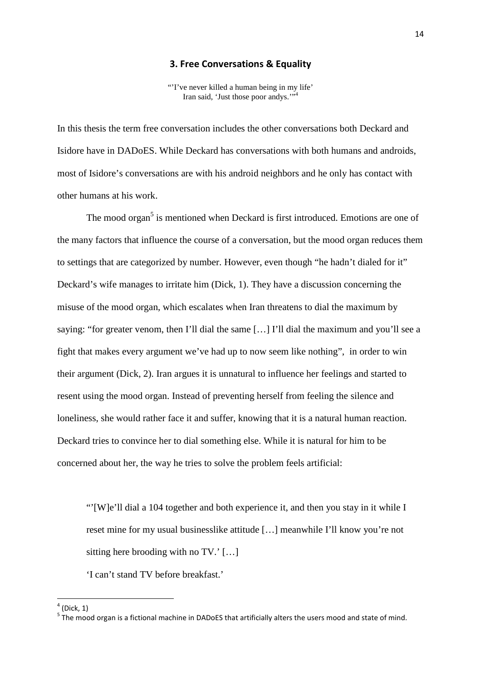#### **3. Free Conversations & Equality**

"I've never killed a human being in my life" Iran said, 'Just those poor andys.'"

In this thesis the term free conversation includes the other conversations both Deckard and Isidore have in DADoES. While Deckard has conversations with both humans and androids, most of Isidore's conversations are with his android neighbors and he only has contact with other humans at his work.

The mood organ<sup>5</sup> is mentioned when Deckard is first introduced. Emotions are one of the many factors that influence the course of a conversation, but the mood organ reduces them to settings that are categorized by number. However, even though "he hadn't dialed for it" Deckard's wife manages to irritate him (Dick, 1). They have a discussion concerning the misuse of the mood organ, which escalates when Iran threatens to dial the maximum by saying: "for greater venom, then I'll dial the same [...] I'll dial the maximum and you'll see a fight that makes every argument we've had up to now seem like nothing", in order to win their argument (Dick, 2). Iran argues it is unnatural to influence her feelings and started to resent using the mood organ. Instead of preventing herself from feeling the silence and loneliness, she would rather face it and suffer, knowing that it is a natural human reaction. Deckard tries to convince her to dial something else. While it is natural for him to be concerned about her, the way he tries to solve the problem feels artificial:

 "'[W]e'll dial a 104 together and both experience it, and then you stay in it while I reset mine for my usual businesslike attitude […] meanwhile I'll know you're not sitting here brooding with no TV.' […]

'I can't stand TV before breakfast.'

 $\overline{\phantom{a}}$ 

 $<sup>4</sup>$  (Dick, 1)</sup>

 $<sup>5</sup>$  The mood organ is a fictional machine in DADoES that artificially alters the users mood and state of mind.</sup>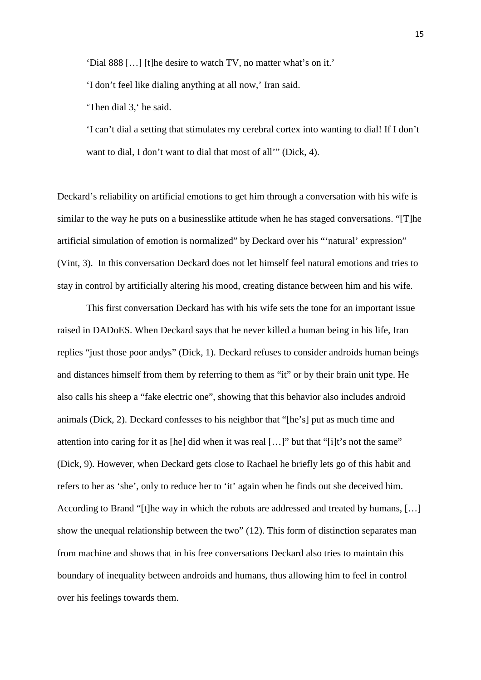'Dial 888 […] [t]he desire to watch TV, no matter what's on it.'

'I don't feel like dialing anything at all now,' Iran said.

'Then dial 3,' he said.

'I can't dial a setting that stimulates my cerebral cortex into wanting to dial! If I don't want to dial, I don't want to dial that most of all'" (Dick, 4).

Deckard's reliability on artificial emotions to get him through a conversation with his wife is similar to the way he puts on a businesslike attitude when he has staged conversations. "[T]he artificial simulation of emotion is normalized" by Deckard over his "'natural' expression" (Vint, 3). In this conversation Deckard does not let himself feel natural emotions and tries to stay in control by artificially altering his mood, creating distance between him and his wife.

This first conversation Deckard has with his wife sets the tone for an important issue raised in DADoES. When Deckard says that he never killed a human being in his life, Iran replies "just those poor andys" (Dick, 1). Deckard refuses to consider androids human beings and distances himself from them by referring to them as "it" or by their brain unit type. He also calls his sheep a "fake electric one", showing that this behavior also includes android animals (Dick, 2). Deckard confesses to his neighbor that "[he's] put as much time and attention into caring for it as [he] did when it was real […]" but that "[i]t's not the same" (Dick, 9). However, when Deckard gets close to Rachael he briefly lets go of this habit and refers to her as 'she', only to reduce her to 'it' again when he finds out she deceived him. According to Brand "[t]he way in which the robots are addressed and treated by humans, […] show the unequal relationship between the two" (12). This form of distinction separates man from machine and shows that in his free conversations Deckard also tries to maintain this boundary of inequality between androids and humans, thus allowing him to feel in control over his feelings towards them.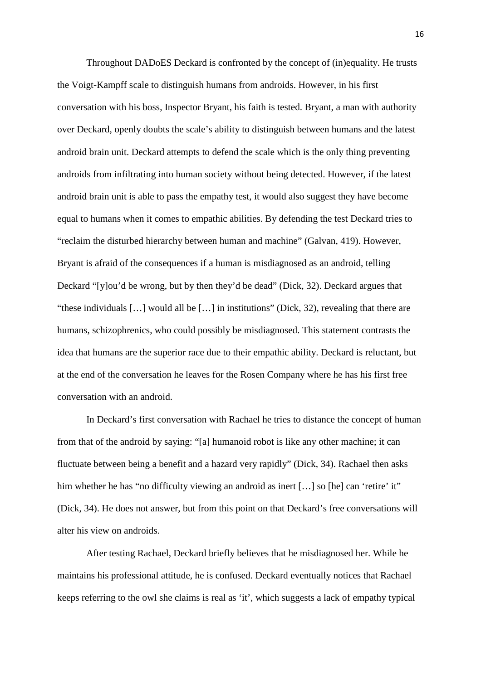Throughout DADoES Deckard is confronted by the concept of (in)equality. He trusts the Voigt-Kampff scale to distinguish humans from androids. However, in his first conversation with his boss, Inspector Bryant, his faith is tested. Bryant, a man with authority over Deckard, openly doubts the scale's ability to distinguish between humans and the latest android brain unit. Deckard attempts to defend the scale which is the only thing preventing androids from infiltrating into human society without being detected. However, if the latest android brain unit is able to pass the empathy test, it would also suggest they have become equal to humans when it comes to empathic abilities. By defending the test Deckard tries to "reclaim the disturbed hierarchy between human and machine" (Galvan, 419). However, Bryant is afraid of the consequences if a human is misdiagnosed as an android, telling Deckard "[y]ou'd be wrong, but by then they'd be dead" (Dick, 32). Deckard argues that "these individuals […] would all be […] in institutions" (Dick, 32), revealing that there are humans, schizophrenics, who could possibly be misdiagnosed. This statement contrasts the idea that humans are the superior race due to their empathic ability. Deckard is reluctant, but at the end of the conversation he leaves for the Rosen Company where he has his first free conversation with an android.

In Deckard's first conversation with Rachael he tries to distance the concept of human from that of the android by saying: "[a] humanoid robot is like any other machine; it can fluctuate between being a benefit and a hazard very rapidly" (Dick, 34). Rachael then asks him whether he has "no difficulty viewing an android as inert [...] so [he] can 'retire' it" (Dick, 34). He does not answer, but from this point on that Deckard's free conversations will alter his view on androids.

After testing Rachael, Deckard briefly believes that he misdiagnosed her. While he maintains his professional attitude, he is confused. Deckard eventually notices that Rachael keeps referring to the owl she claims is real as 'it', which suggests a lack of empathy typical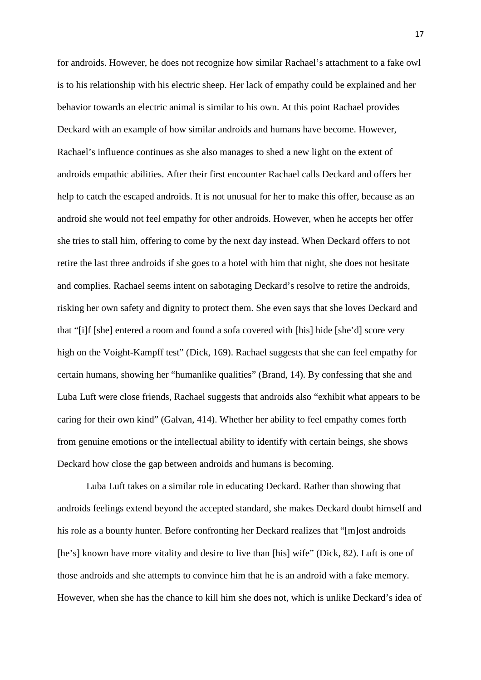for androids. However, he does not recognize how similar Rachael's attachment to a fake owl is to his relationship with his electric sheep. Her lack of empathy could be explained and her behavior towards an electric animal is similar to his own. At this point Rachael provides Deckard with an example of how similar androids and humans have become. However, Rachael's influence continues as she also manages to shed a new light on the extent of androids empathic abilities. After their first encounter Rachael calls Deckard and offers her help to catch the escaped androids. It is not unusual for her to make this offer, because as an android she would not feel empathy for other androids. However, when he accepts her offer she tries to stall him, offering to come by the next day instead. When Deckard offers to not retire the last three androids if she goes to a hotel with him that night, she does not hesitate and complies. Rachael seems intent on sabotaging Deckard's resolve to retire the androids, risking her own safety and dignity to protect them. She even says that she loves Deckard and that "[i]f [she] entered a room and found a sofa covered with [his] hide [she'd] score very high on the Voight-Kampff test" (Dick, 169). Rachael suggests that she can feel empathy for certain humans, showing her "humanlike qualities" (Brand, 14). By confessing that she and Luba Luft were close friends, Rachael suggests that androids also "exhibit what appears to be caring for their own kind" (Galvan, 414). Whether her ability to feel empathy comes forth from genuine emotions or the intellectual ability to identify with certain beings, she shows Deckard how close the gap between androids and humans is becoming.

Luba Luft takes on a similar role in educating Deckard. Rather than showing that androids feelings extend beyond the accepted standard, she makes Deckard doubt himself and his role as a bounty hunter. Before confronting her Deckard realizes that "[m]ost androids [he's] known have more vitality and desire to live than [his] wife" (Dick, 82). Luft is one of those androids and she attempts to convince him that he is an android with a fake memory. However, when she has the chance to kill him she does not, which is unlike Deckard's idea of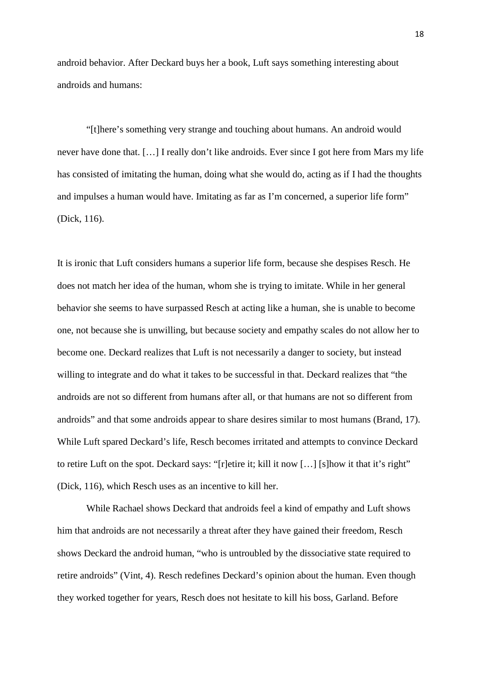android behavior. After Deckard buys her a book, Luft says something interesting about androids and humans:

 "[t]here's something very strange and touching about humans. An android would never have done that. […] I really don't like androids. Ever since I got here from Mars my life has consisted of imitating the human, doing what she would do, acting as if I had the thoughts and impulses a human would have. Imitating as far as I'm concerned, a superior life form" (Dick, 116).

It is ironic that Luft considers humans a superior life form, because she despises Resch. He does not match her idea of the human, whom she is trying to imitate. While in her general behavior she seems to have surpassed Resch at acting like a human, she is unable to become one, not because she is unwilling, but because society and empathy scales do not allow her to become one. Deckard realizes that Luft is not necessarily a danger to society, but instead willing to integrate and do what it takes to be successful in that. Deckard realizes that "the androids are not so different from humans after all, or that humans are not so different from androids" and that some androids appear to share desires similar to most humans (Brand, 17). While Luft spared Deckard's life, Resch becomes irritated and attempts to convince Deckard to retire Luft on the spot. Deckard says: "[r]etire it; kill it now […] [s]how it that it's right" (Dick, 116), which Resch uses as an incentive to kill her.

While Rachael shows Deckard that androids feel a kind of empathy and Luft shows him that androids are not necessarily a threat after they have gained their freedom, Resch shows Deckard the android human, "who is untroubled by the dissociative state required to retire androids" (Vint, 4). Resch redefines Deckard's opinion about the human. Even though they worked together for years, Resch does not hesitate to kill his boss, Garland. Before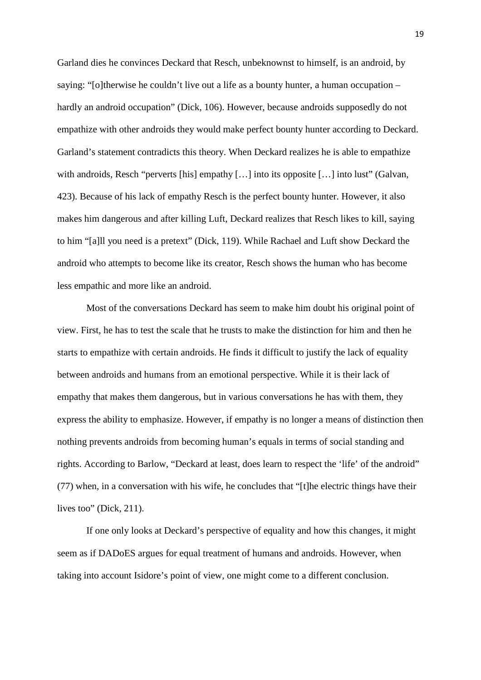Garland dies he convinces Deckard that Resch, unbeknownst to himself, is an android, by saying: "[o]therwise he couldn't live out a life as a bounty hunter, a human occupation – hardly an android occupation" (Dick, 106). However, because androids supposedly do not empathize with other androids they would make perfect bounty hunter according to Deckard. Garland's statement contradicts this theory. When Deckard realizes he is able to empathize with androids, Resch "perverts [his] empathy [...] into its opposite [...] into lust" (Galvan, 423). Because of his lack of empathy Resch is the perfect bounty hunter. However, it also makes him dangerous and after killing Luft, Deckard realizes that Resch likes to kill, saying to him "[a]ll you need is a pretext" (Dick, 119). While Rachael and Luft show Deckard the android who attempts to become like its creator, Resch shows the human who has become less empathic and more like an android.

Most of the conversations Deckard has seem to make him doubt his original point of view. First, he has to test the scale that he trusts to make the distinction for him and then he starts to empathize with certain androids. He finds it difficult to justify the lack of equality between androids and humans from an emotional perspective. While it is their lack of empathy that makes them dangerous, but in various conversations he has with them, they express the ability to emphasize. However, if empathy is no longer a means of distinction then nothing prevents androids from becoming human's equals in terms of social standing and rights. According to Barlow, "Deckard at least, does learn to respect the 'life' of the android" (77) when, in a conversation with his wife, he concludes that "[t]he electric things have their lives too" (Dick, 211).

If one only looks at Deckard's perspective of equality and how this changes, it might seem as if DADoES argues for equal treatment of humans and androids. However, when taking into account Isidore's point of view, one might come to a different conclusion.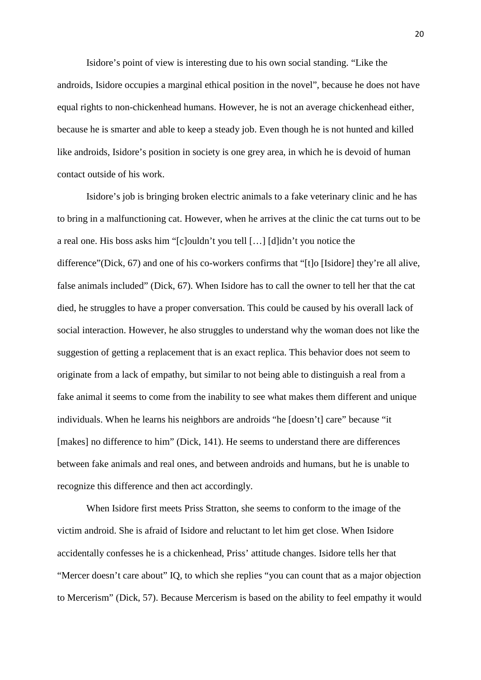Isidore's point of view is interesting due to his own social standing. "Like the androids, Isidore occupies a marginal ethical position in the novel", because he does not have equal rights to non-chickenhead humans. However, he is not an average chickenhead either, because he is smarter and able to keep a steady job. Even though he is not hunted and killed like androids, Isidore's position in society is one grey area, in which he is devoid of human contact outside of his work.

Isidore's job is bringing broken electric animals to a fake veterinary clinic and he has to bring in a malfunctioning cat. However, when he arrives at the clinic the cat turns out to be a real one. His boss asks him "[c]ouldn't you tell […] [d]idn't you notice the difference"(Dick, 67) and one of his co-workers confirms that "[t]o [Isidore] they're all alive, false animals included" (Dick, 67). When Isidore has to call the owner to tell her that the cat died, he struggles to have a proper conversation. This could be caused by his overall lack of social interaction. However, he also struggles to understand why the woman does not like the suggestion of getting a replacement that is an exact replica. This behavior does not seem to originate from a lack of empathy, but similar to not being able to distinguish a real from a fake animal it seems to come from the inability to see what makes them different and unique individuals. When he learns his neighbors are androids "he [doesn't] care" because "it [makes] no difference to him" (Dick, 141). He seems to understand there are differences between fake animals and real ones, and between androids and humans, but he is unable to recognize this difference and then act accordingly.

When Isidore first meets Priss Stratton, she seems to conform to the image of the victim android. She is afraid of Isidore and reluctant to let him get close. When Isidore accidentally confesses he is a chickenhead, Priss' attitude changes. Isidore tells her that "Mercer doesn't care about" IQ, to which she replies "you can count that as a major objection to Mercerism" (Dick, 57). Because Mercerism is based on the ability to feel empathy it would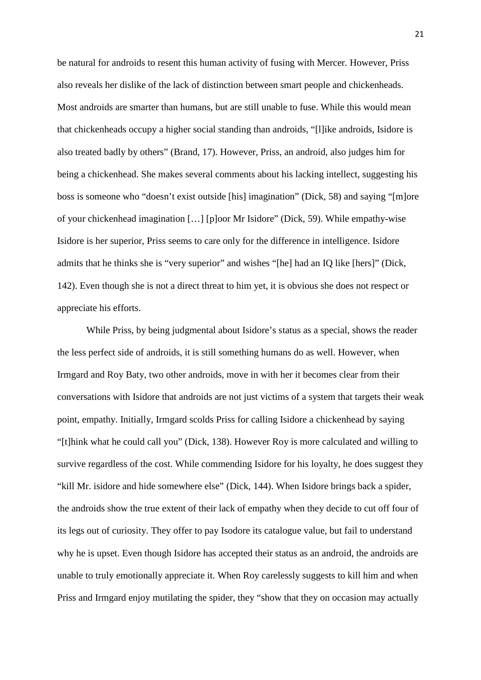be natural for androids to resent this human activity of fusing with Mercer. However, Priss also reveals her dislike of the lack of distinction between smart people and chickenheads. Most androids are smarter than humans, but are still unable to fuse. While this would mean that chickenheads occupy a higher social standing than androids, "[l]ike androids, Isidore is also treated badly by others" (Brand, 17). However, Priss, an android, also judges him for being a chickenhead. She makes several comments about his lacking intellect, suggesting his boss is someone who "doesn't exist outside [his] imagination" (Dick, 58) and saying "[m]ore of your chickenhead imagination […] [p]oor Mr Isidore" (Dick, 59). While empathy-wise Isidore is her superior, Priss seems to care only for the difference in intelligence. Isidore admits that he thinks she is "very superior" and wishes "[he] had an IQ like [hers]" (Dick, 142). Even though she is not a direct threat to him yet, it is obvious she does not respect or appreciate his efforts.

 While Priss, by being judgmental about Isidore's status as a special, shows the reader the less perfect side of androids, it is still something humans do as well. However, when Irmgard and Roy Baty, two other androids, move in with her it becomes clear from their conversations with Isidore that androids are not just victims of a system that targets their weak point, empathy. Initially, Irmgard scolds Priss for calling Isidore a chickenhead by saying "[t]hink what he could call you" (Dick, 138). However Roy is more calculated and willing to survive regardless of the cost. While commending Isidore for his loyalty, he does suggest they "kill Mr. isidore and hide somewhere else" (Dick, 144). When Isidore brings back a spider, the androids show the true extent of their lack of empathy when they decide to cut off four of its legs out of curiosity. They offer to pay Isodore its catalogue value, but fail to understand why he is upset. Even though Isidore has accepted their status as an android, the androids are unable to truly emotionally appreciate it. When Roy carelessly suggests to kill him and when Priss and Irmgard enjoy mutilating the spider, they "show that they on occasion may actually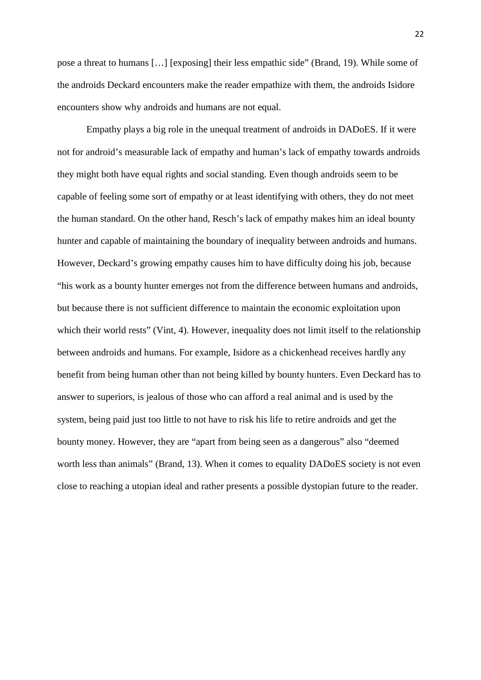pose a threat to humans […] [exposing] their less empathic side" (Brand, 19). While some of the androids Deckard encounters make the reader empathize with them, the androids Isidore encounters show why androids and humans are not equal.

Empathy plays a big role in the unequal treatment of androids in DADoES. If it were not for android's measurable lack of empathy and human's lack of empathy towards androids they might both have equal rights and social standing. Even though androids seem to be capable of feeling some sort of empathy or at least identifying with others, they do not meet the human standard. On the other hand, Resch's lack of empathy makes him an ideal bounty hunter and capable of maintaining the boundary of inequality between androids and humans. However, Deckard's growing empathy causes him to have difficulty doing his job, because "his work as a bounty hunter emerges not from the difference between humans and androids, but because there is not sufficient difference to maintain the economic exploitation upon which their world rests" (Vint, 4). However, inequality does not limit itself to the relationship between androids and humans. For example, Isidore as a chickenhead receives hardly any benefit from being human other than not being killed by bounty hunters. Even Deckard has to answer to superiors, is jealous of those who can afford a real animal and is used by the system, being paid just too little to not have to risk his life to retire androids and get the bounty money. However, they are "apart from being seen as a dangerous" also "deemed worth less than animals" (Brand, 13). When it comes to equality DADoES society is not even close to reaching a utopian ideal and rather presents a possible dystopian future to the reader.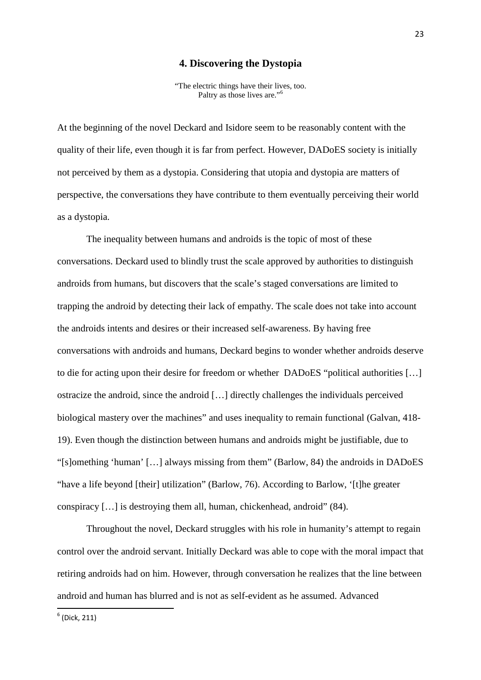#### **4. Discovering the Dystopia**

"The electric things have their lives, too. Paltry as those lives are."<sup>6</sup>

At the beginning of the novel Deckard and Isidore seem to be reasonably content with the quality of their life, even though it is far from perfect. However, DADoES society is initially not perceived by them as a dystopia. Considering that utopia and dystopia are matters of perspective, the conversations they have contribute to them eventually perceiving their world as a dystopia.

The inequality between humans and androids is the topic of most of these conversations. Deckard used to blindly trust the scale approved by authorities to distinguish androids from humans, but discovers that the scale's staged conversations are limited to trapping the android by detecting their lack of empathy. The scale does not take into account the androids intents and desires or their increased self-awareness. By having free conversations with androids and humans, Deckard begins to wonder whether androids deserve to die for acting upon their desire for freedom or whether DADoES "political authorities […] ostracize the android, since the android […] directly challenges the individuals perceived biological mastery over the machines" and uses inequality to remain functional (Galvan, 418- 19). Even though the distinction between humans and androids might be justifiable, due to "[s]omething 'human' […] always missing from them" (Barlow, 84) the androids in DADoES "have a life beyond [their] utilization" (Barlow, 76). According to Barlow, '[t]he greater conspiracy […] is destroying them all, human, chickenhead, android" (84).

Throughout the novel, Deckard struggles with his role in humanity's attempt to regain control over the android servant. Initially Deckard was able to cope with the moral impact that retiring androids had on him. However, through conversation he realizes that the line between android and human has blurred and is not as self-evident as he assumed. Advanced

 $<sup>6</sup>$  (Dick, 211)</sup>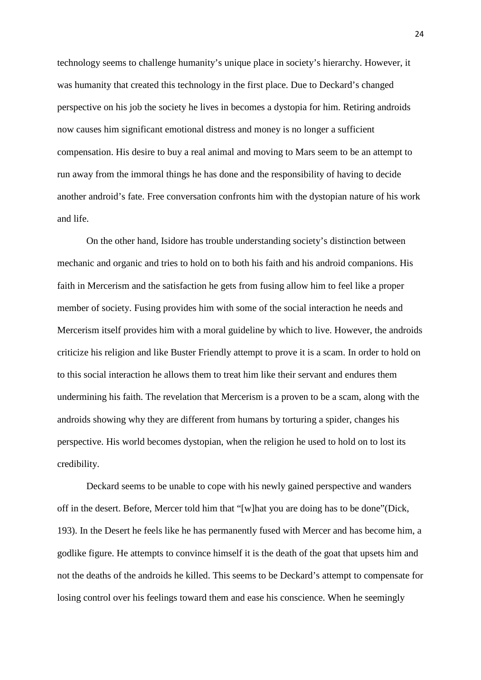technology seems to challenge humanity's unique place in society's hierarchy. However, it was humanity that created this technology in the first place. Due to Deckard's changed perspective on his job the society he lives in becomes a dystopia for him. Retiring androids now causes him significant emotional distress and money is no longer a sufficient compensation. His desire to buy a real animal and moving to Mars seem to be an attempt to run away from the immoral things he has done and the responsibility of having to decide another android's fate. Free conversation confronts him with the dystopian nature of his work and life.

On the other hand, Isidore has trouble understanding society's distinction between mechanic and organic and tries to hold on to both his faith and his android companions. His faith in Mercerism and the satisfaction he gets from fusing allow him to feel like a proper member of society. Fusing provides him with some of the social interaction he needs and Mercerism itself provides him with a moral guideline by which to live. However, the androids criticize his religion and like Buster Friendly attempt to prove it is a scam. In order to hold on to this social interaction he allows them to treat him like their servant and endures them undermining his faith. The revelation that Mercerism is a proven to be a scam, along with the androids showing why they are different from humans by torturing a spider, changes his perspective. His world becomes dystopian, when the religion he used to hold on to lost its credibility.

Deckard seems to be unable to cope with his newly gained perspective and wanders off in the desert. Before, Mercer told him that "[w]hat you are doing has to be done"(Dick, 193). In the Desert he feels like he has permanently fused with Mercer and has become him, a godlike figure. He attempts to convince himself it is the death of the goat that upsets him and not the deaths of the androids he killed. This seems to be Deckard's attempt to compensate for losing control over his feelings toward them and ease his conscience. When he seemingly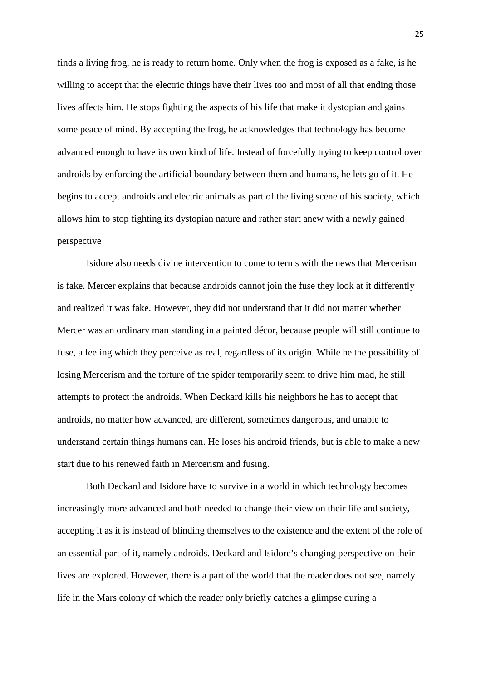finds a living frog, he is ready to return home. Only when the frog is exposed as a fake, is he willing to accept that the electric things have their lives too and most of all that ending those lives affects him. He stops fighting the aspects of his life that make it dystopian and gains some peace of mind. By accepting the frog, he acknowledges that technology has become advanced enough to have its own kind of life. Instead of forcefully trying to keep control over androids by enforcing the artificial boundary between them and humans, he lets go of it. He begins to accept androids and electric animals as part of the living scene of his society, which allows him to stop fighting its dystopian nature and rather start anew with a newly gained perspective

Isidore also needs divine intervention to come to terms with the news that Mercerism is fake. Mercer explains that because androids cannot join the fuse they look at it differently and realized it was fake. However, they did not understand that it did not matter whether Mercer was an ordinary man standing in a painted décor, because people will still continue to fuse, a feeling which they perceive as real, regardless of its origin. While he the possibility of losing Mercerism and the torture of the spider temporarily seem to drive him mad, he still attempts to protect the androids. When Deckard kills his neighbors he has to accept that androids, no matter how advanced, are different, sometimes dangerous, and unable to understand certain things humans can. He loses his android friends, but is able to make a new start due to his renewed faith in Mercerism and fusing.

Both Deckard and Isidore have to survive in a world in which technology becomes increasingly more advanced and both needed to change their view on their life and society, accepting it as it is instead of blinding themselves to the existence and the extent of the role of an essential part of it, namely androids. Deckard and Isidore's changing perspective on their lives are explored. However, there is a part of the world that the reader does not see, namely life in the Mars colony of which the reader only briefly catches a glimpse during a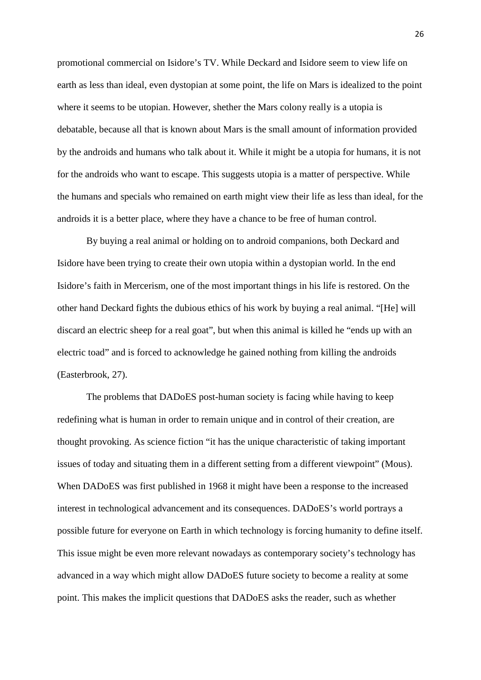promotional commercial on Isidore's TV. While Deckard and Isidore seem to view life on earth as less than ideal, even dystopian at some point, the life on Mars is idealized to the point where it seems to be utopian. However, shether the Mars colony really is a utopia is debatable, because all that is known about Mars is the small amount of information provided by the androids and humans who talk about it. While it might be a utopia for humans, it is not for the androids who want to escape. This suggests utopia is a matter of perspective. While the humans and specials who remained on earth might view their life as less than ideal, for the androids it is a better place, where they have a chance to be free of human control.

By buying a real animal or holding on to android companions, both Deckard and Isidore have been trying to create their own utopia within a dystopian world. In the end Isidore's faith in Mercerism, one of the most important things in his life is restored. On the other hand Deckard fights the dubious ethics of his work by buying a real animal. "[He] will discard an electric sheep for a real goat", but when this animal is killed he "ends up with an electric toad" and is forced to acknowledge he gained nothing from killing the androids (Easterbrook, 27).

The problems that DADoES post-human society is facing while having to keep redefining what is human in order to remain unique and in control of their creation, are thought provoking. As science fiction "it has the unique characteristic of taking important issues of today and situating them in a different setting from a different viewpoint" (Mous). When DADoES was first published in 1968 it might have been a response to the increased interest in technological advancement and its consequences. DADoES's world portrays a possible future for everyone on Earth in which technology is forcing humanity to define itself. This issue might be even more relevant nowadays as contemporary society's technology has advanced in a way which might allow DADoES future society to become a reality at some point. This makes the implicit questions that DADoES asks the reader, such as whether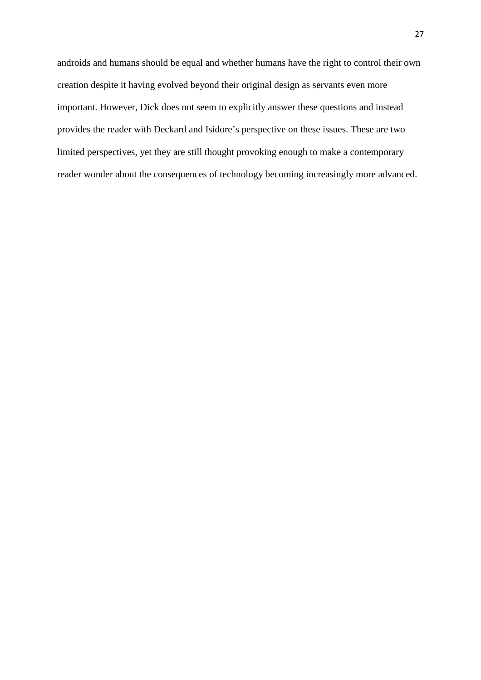androids and humans should be equal and whether humans have the right to control their own creation despite it having evolved beyond their original design as servants even more important. However, Dick does not seem to explicitly answer these questions and instead provides the reader with Deckard and Isidore's perspective on these issues. These are two limited perspectives, yet they are still thought provoking enough to make a contemporary reader wonder about the consequences of technology becoming increasingly more advanced.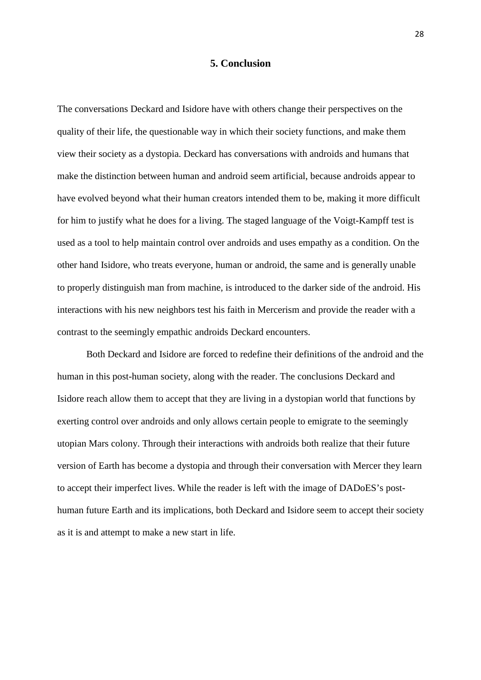# **5. Conclusion**

The conversations Deckard and Isidore have with others change their perspectives on the quality of their life, the questionable way in which their society functions, and make them view their society as a dystopia. Deckard has conversations with androids and humans that make the distinction between human and android seem artificial, because androids appear to have evolved beyond what their human creators intended them to be, making it more difficult for him to justify what he does for a living. The staged language of the Voigt-Kampff test is used as a tool to help maintain control over androids and uses empathy as a condition. On the other hand Isidore, who treats everyone, human or android, the same and is generally unable to properly distinguish man from machine, is introduced to the darker side of the android. His interactions with his new neighbors test his faith in Mercerism and provide the reader with a contrast to the seemingly empathic androids Deckard encounters.

Both Deckard and Isidore are forced to redefine their definitions of the android and the human in this post-human society, along with the reader. The conclusions Deckard and Isidore reach allow them to accept that they are living in a dystopian world that functions by exerting control over androids and only allows certain people to emigrate to the seemingly utopian Mars colony. Through their interactions with androids both realize that their future version of Earth has become a dystopia and through their conversation with Mercer they learn to accept their imperfect lives. While the reader is left with the image of DADoES's posthuman future Earth and its implications, both Deckard and Isidore seem to accept their society as it is and attempt to make a new start in life.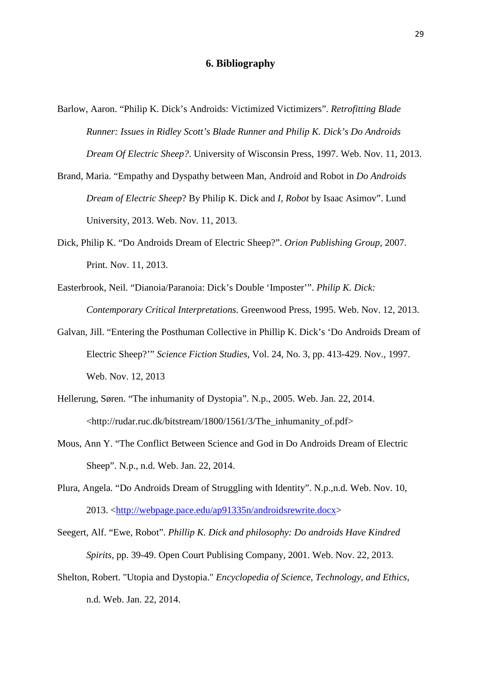# **6. Bibliography**

- Barlow, Aaron. "Philip K. Dick's Androids: Victimized Victimizers". *Retrofitting Blade Runner: Issues in Ridley Scott's Blade Runner and Philip K. Dick's Do Androids Dream Of Electric Sheep?*. University of Wisconsin Press, 1997. Web. Nov. 11, 2013.
- Brand, Maria. "Empathy and Dyspathy between Man, Android and Robot in *Do Androids Dream of Electric Sheep*? By Philip K. Dick and *I, Robot* by Isaac Asimov". Lund University, 2013. Web. Nov. 11, 2013.
- Dick, Philip K. "Do Androids Dream of Electric Sheep?". *Orion Publishing Group*, 2007. Print. Nov. 11, 2013.
- Easterbrook, Neil. "Dianoia/Paranoia: Dick's Double 'Imposter'". *Philip K. Dick: Contemporary Critical Interpretations.* Greenwood Press, 1995. Web. Nov. 12, 2013.
- Galvan, Jill. "Entering the Posthuman Collective in Phillip K. Dick's 'Do Androids Dream of Electric Sheep?'" *Science Fiction Studies*, Vol. 24, No. 3, pp. 413-429. Nov., 1997. Web. Nov. 12, 2013
- Hellerung, Søren. "The inhumanity of Dystopia". N.p., 2005. Web. Jan. 22, 2014. <http://rudar.ruc.dk/bitstream/1800/1561/3/The\_inhumanity\_of.pdf>
- Mous, Ann Y. "The Conflict Between Science and God in Do Androids Dream of Electric Sheep". N.p., n.d. Web. Jan. 22, 2014.
- Plura, Angela. "Do Androids Dream of Struggling with Identity". N.p.,n.d. Web. Nov. 10, 2013. <http://webpage.pace.edu/ap91335n/androidsrewrite.docx>
- Seegert, Alf. "Ewe, Robot". *Phillip K. Dick and philosophy: Do androids Have Kindred Spirits*, pp. 39-49. Open Court Publising Company, 2001. Web. Nov. 22, 2013.
- Shelton, Robert. "Utopia and Dystopia." *Encyclopedia of Science, Technology, and Ethics*, n.d. Web. Jan. 22, 2014.